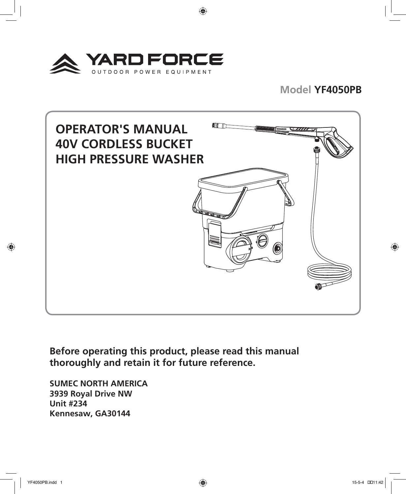

## **Model YF4050PB**



⊕

**Before operating this product, please read this manual thoroughly and retain it for future reference.**

**SUMEC NORTH AMERICA 3939 Royal Drive NW Unit #234 Kennesaw, GA30144**

YF4050PB.indd 1 15-5-4 ��11:42

⊕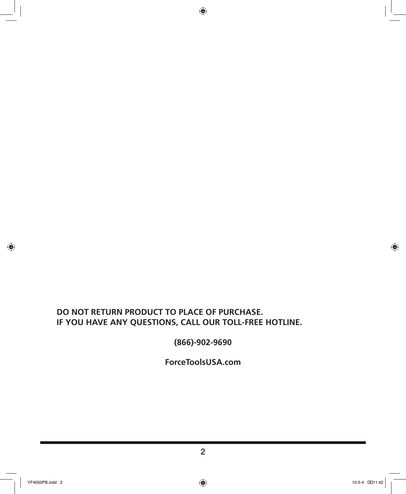### **DO NOT RETURN PRODUCT TO PLACE OF PURCHASE. IF YOU HAVE ANY QUESTIONS, CALL OUR TOLL-FREE HOTLINE.**

**(866)-902-9690**

 $\bigoplus$ 

**ForceToolsUSA.com**

 $\bigoplus$ 

 $\bigoplus$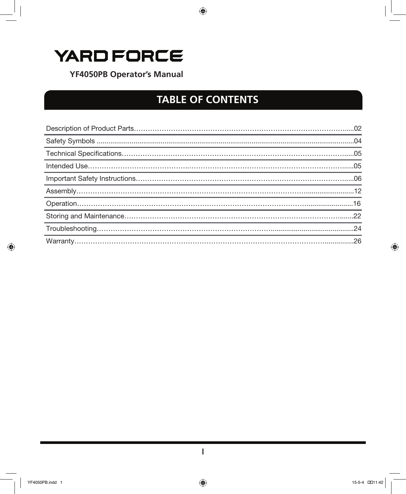# YARD FORCE

**YF4050PB Operator's Manual** 

# **TABLE OF CONTENTS**

 $\bigoplus$ 

| 16 |
|----|
|    |
|    |
|    |

 $\bigoplus$ 

 $\bigoplus$ 

 $\bigoplus$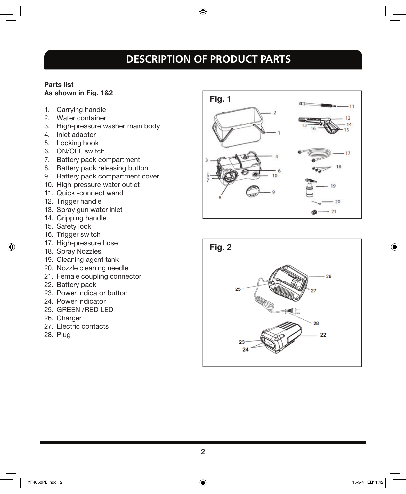# **DESCRIPTION OF PRODUCT PARTS**

◈

#### Parts list As shown in Fig. 1&2

- 1. Carrying handle
- 2. Water container
- 3. High-pressure washer main body
- 4. Inlet adapter
- 5. Locking hook
- 6. ON/OFF switch
- 7. Battery pack compartment
- 8. Battery pack releasing button
- 9. Battery pack compartment cover
- 10. High-pressure water outlet
- 11. Quick -connect wand
- 12. Trigger handle
- 13. Spray gun water inlet
- 14. Gripping handle
- 15. Safety lock

⊕

- 16. Trigger switch
- 17. High-pressure hose
- 18. Spray Nozzles
- 19. Cleaning agent tank
- 20. Nozzle cleaning needle
- 21. Female coupling connector
- 22. Battery pack
- 23. Power indicator button
- 24. Power indicator
- 25. GREEN /RED LED
- 26. Charger
- 27. Electric contacts
- 28. Plug



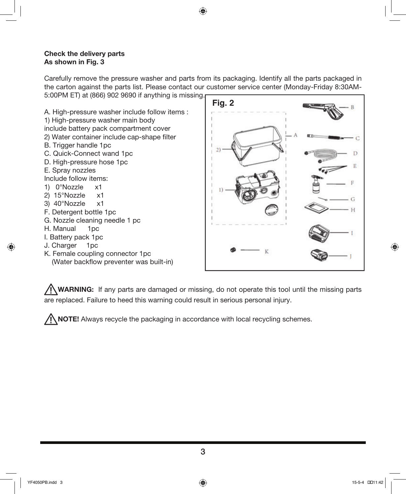#### Check the delivery parts As shown in Fig. 3

Carefully remove the pressure washer and parts from its packaging. Identify all the parts packaged in the carton against the parts list. Please contact our customer service center (Monday-Friday 8:30AM-5:00PM ET) at (866) 902 9690 if anything is missing.

⊕

A. High-pressure washer include follow items : 1) High-pressure washer main body include battery pack compartment cover 2) Water container include cap-shape filter B. Trigger handle 1pc C. Quick-Connect wand 1pc D. High-pressure hose 1pc E. Spray nozzles Include follow items: 1) 0°Nozzle x1 2) 15°Nozzle x1 3) 40°Nozzle x1 F. Detergent bottle 1pc G. Nozzle cleaning needle 1 pc H. Manual 1pc I. Battery pack 1pc J. Charger 1pc K. Female coupling connector 1pc (Water backflow preventer was built-in)



WARNING: If any parts are damaged or missing, do not operate this tool until the missing parts are replaced. Failure to heed this warning could result in serious personal injury.

 $\bigwedge$  NOTE! Always recycle the packaging in accordance with local recycling schemes.

 $\Leftrightarrow$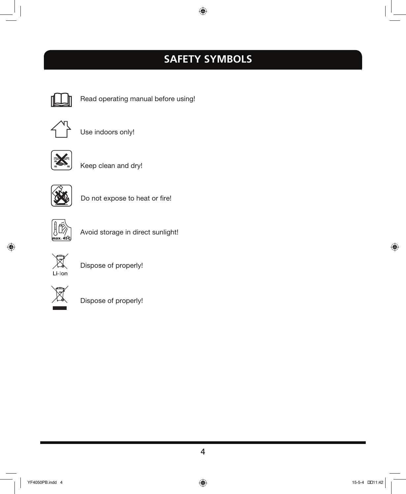# **SAFETY SYMBOLS**

 $\bigoplus$ 



Read operating manual before using!



Use indoors only!



Keep clean and dry!



Do not expose to heat or fire!



Avoid storage in direct sunlight!



 $\bigoplus$ 

Dispose of properly!



Dispose of properly!

 $\bigoplus$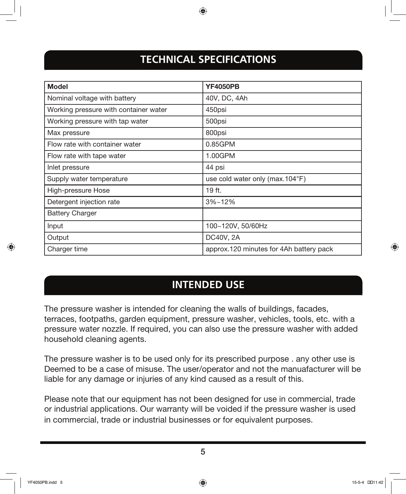# **TECHNICAL SPECIFICATIONS**

⊕

| <b>Model</b>                          | <b>YF4050PB</b>                         |
|---------------------------------------|-----------------------------------------|
| Nominal voltage with battery          | 40V, DC, 4Ah                            |
| Working pressure with container water | 450psi                                  |
| Working pressure with tap water       | 500psi                                  |
| Max pressure                          | 800psi                                  |
| Flow rate with container water        | 0.85GPM                                 |
| Flow rate with tape water             | 1.00GPM                                 |
| Inlet pressure                        | 44 psi                                  |
| Supply water temperature              | use cold water only (max.104°F)         |
| High-pressure Hose                    | 19 ft.                                  |
| Detergent injection rate              | $3\%$ ~12%                              |
| <b>Battery Charger</b>                |                                         |
| Input                                 | 100~120V, 50/60Hz                       |
| Output                                | DC40V, 2A                               |
| Charger time                          | approx.120 minutes for 4Ah battery pack |

## **INTENDED USE**

The pressure washer is intended for cleaning the walls of buildings, facades, terraces, footpaths, garden equipment, pressure washer, vehicles, tools, etc. with a pressure water nozzle. If required, you can also use the pressure washer with added household cleaning agents.

The pressure washer is to be used only for its prescribed purpose . any other use is Deemed to be a case of misuse. The user/operator and not the manuafacturer will be liable for any damage or injuries of any kind caused as a result of this.

Please note that our equipment has not been designed for use in commercial, trade or industrial applications. Our warranty will be voided if the pressure washer is used in commercial, trade or industrial businesses or for equivalent purposes.

5

 $\Leftrightarrow$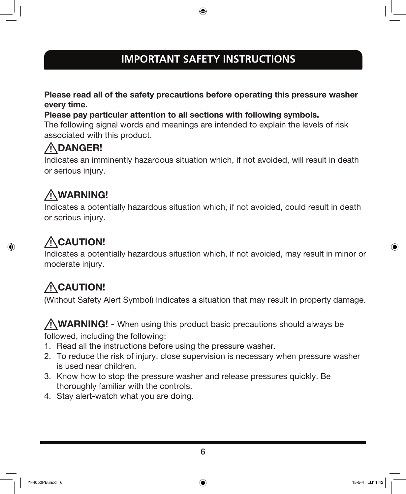# **IMPORTANT SAFETY INSTRUCTIONS**

⊕

Please read all of the safety precautions before operating this pressure washer every time.

Please pay particular attention to all sections with following symbols.

The following signal words and meanings are intended to explain the levels of risk associated with this product.

# DANGER!

Indicates an imminently hazardous situation which, if not avoided, will result in death or serious injury.

# WARNING!

Indicates a potentially hazardous situation which, if not avoided, could result in death or serious injury.

# ACAUTION!

 $\Leftrightarrow$ 

Indicates a potentially hazardous situation which, if not avoided, may result in minor or moderate injury.

# ACAUTION!

(Without Safety Alert Symbol) Indicates a situation that may result in property damage.

WARNING! - When using this product basic precautions should always be followed, including the following:

- 1. Read all the instructions before using the pressure washer.
- 2. To reduce the risk of injury, close supervision is necessary when pressure washer is used near children.
- 3. Know how to stop the pressure washer and release pressures quickly. Be thoroughly familiar with the controls.
- 4. Stay alert-watch what you are doing.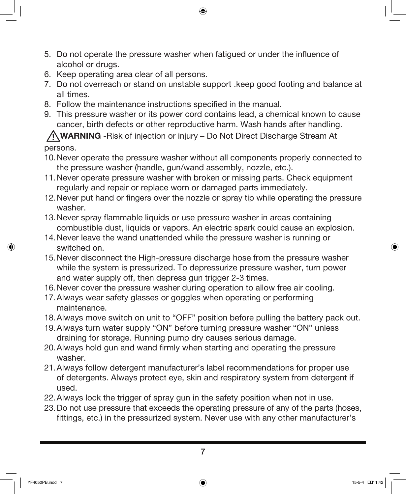- 5. Do not operate the pressure washer when fatigued or under the influence of alcohol or drugs.
- 6. Keep operating area clear of all persons.
- 7. Do not overreach or stand on unstable support .keep good footing and balance at all times.

- 8. Follow the maintenance instructions specified in the manual.
- 9. This pressure washer or its power cord contains lead, a chemical known to cause cancer, birth defects or other reproductive harm. Wash hands after handling.

WARNING -Risk of injection or injury – Do Not Direct Discharge Stream At persons.

- 10.Never operate the pressure washer without all components properly connected to the pressure washer (handle, gun/wand assembly, nozzle, etc.).
- 11.Never operate pressure washer with broken or missing parts. Check equipment regularly and repair or replace worn or damaged parts immediately.
- 12.Never put hand or fingers over the nozzle or spray tip while operating the pressure washer.
- 13.Never spray flammable liquids or use pressure washer in areas containing combustible dust, liquids or vapors. An electric spark could cause an explosion.
- 14.Never leave the wand unattended while the pressure washer is running or switched on.
- 15.Never disconnect the High-pressure discharge hose from the pressure washer while the system is pressurized. To depressurize pressure washer, turn power and water supply off, then depress gun trigger 2-3 times.
- 16.Never cover the pressure washer during operation to allow free air cooling.
- 17.Always wear safety glasses or goggles when operating or performing maintenance.
- 18.Always move switch on unit to "OFF" position before pulling the battery pack out.
- 19. Always turn water supply "ON" before turning pressure washer "ON" unless draining for storage. Running pump dry causes serious damage.
- 20.Always hold gun and wand firmly when starting and operating the pressure washer.
- 21.Always follow detergent manufacturer's label recommendations for proper use of detergents. Always protect eye, skin and respiratory system from detergent if used.
- 22.Always lock the trigger of spray gun in the safety position when not in use.
- 23.Do not use pressure that exceeds the operating pressure of any of the parts (hoses, fittings, etc.) in the pressurized system. Never use with any other manufacturer's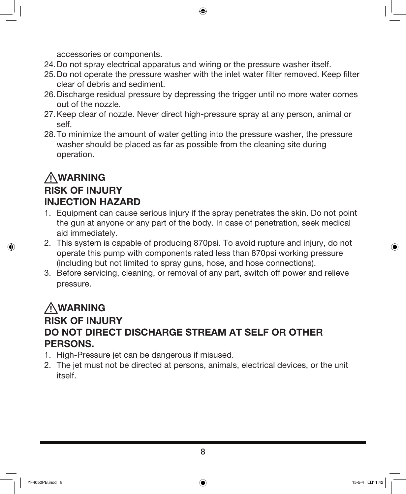accessories or components.

- 24.Do not spray electrical apparatus and wiring or the pressure washer itself.
- 25.Do not operate the pressure washer with the inlet water filter removed. Keep filter clear of debris and sediment.

◈

- 26.Discharge residual pressure by depressing the trigger until no more water comes out of the nozzle.
- 27.Keep clear of nozzle. Never direct high-pressure spray at any person, animal or self.
- 28.To minimize the amount of water getting into the pressure washer, the pressure washer should be placed as far as possible from the cleaning site during operation.

## WARNING RISK OF INJURY INJECTION HAZARD

- 1. Equipment can cause serious injury if the spray penetrates the skin. Do not point the gun at anyone or any part of the body. In case of penetration, seek medical aid immediately.
- 2. This system is capable of producing 870psi. To avoid rupture and injury, do not operate this pump with components rated less than 870psi working pressure (including but not limited to spray guns, hose, and hose connections).
- 3. Before servicing, cleaning, or removal of any part, switch off power and relieve pressure.

# WARNING RISK OF INJURY DO NOT DIRECT DISCHARGE STREAM AT SELF OR OTHER PERSONS.

- 1. High-Pressure jet can be dangerous if misused.
- 2. The jet must not be directed at persons, animals, electrical devices, or the unit itself.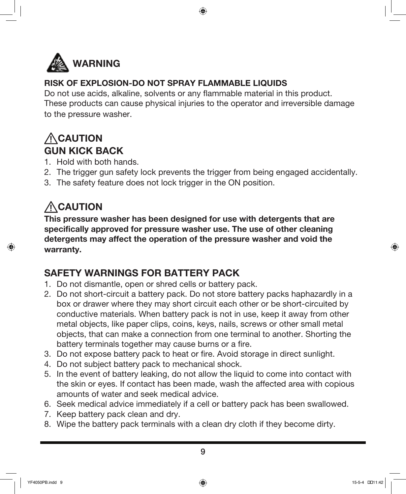

### RISK OF EXPLOSION-DO NOT SPRAY FLAMMABLE LIQUIDS

Do not use acids, alkaline, solvents or any flammable material in this product. These products can cause physical injuries to the operator and irreversible damage to the pressure washer.

⊕

# **ACAUTION** GUN KICK BACK

- 1. Hold with both hands.
- 2. The trigger gun safety lock prevents the trigger from being engaged accidentally.
- 3. The safety feature does not lock trigger in the ON position.

# **ACAUTION**

This pressure washer has been designed for use with detergents that are specifically approved for pressure washer use. The use of other cleaning detergents may affect the operation of the pressure washer and void the warranty.

# SAFETY WARNINGS FOR BATTERY PACK

- 1. Do not dismantle, open or shred cells or battery pack.
- 2. Do not short-circuit a battery pack. Do not store battery packs haphazardly in a box or drawer where they may short circuit each other or be short-circuited by conductive materials. When battery pack is not in use, keep it away from other metal objects, like paper clips, coins, keys, nails, screws or other small metal objects, that can make a connection from one terminal to another. Shorting the battery terminals together may cause burns or a fire.
- 3. Do not expose battery pack to heat or fire. Avoid storage in direct sunlight.
- 4. Do not subject battery pack to mechanical shock.
- 5. In the event of battery leaking, do not allow the liquid to come into contact with the skin or eyes. If contact has been made, wash the affected area with copious amounts of water and seek medical advice.
- 6. Seek medical advice immediately if a cell or battery pack has been swallowed.
- 7. Keep battery pack clean and dry.
- 8. Wipe the battery pack terminals with a clean dry cloth if they become dirty.

YF4050PB.indd 9 15-5-4 ��11:42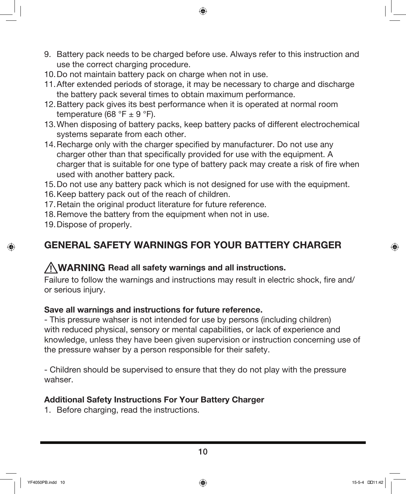9. Battery pack needs to be charged before use. Always refer to this instruction and use the correct charging procedure.

⊕

- 10.Do not maintain battery pack on charge when not in use.
- 11.After extended periods of storage, it may be necessary to charge and discharge the battery pack several times to obtain maximum performance.
- 12.Battery pack gives its best performance when it is operated at normal room temperature (68 °F  $\pm$  9 °F).
- 13.When disposing of battery packs, keep battery packs of different electrochemical systems separate from each other.
- 14.Recharge only with the charger specified by manufacturer. Do not use any charger other than that specifically provided for use with the equipment. A charger that is suitable for one type of battery pack may create a risk of fire when used with another battery pack.
- 15.Do not use any battery pack which is not designed for use with the equipment.
- 16.Keep battery pack out of the reach of children.
- 17.Retain the original product literature for future reference.
- 18.Remove the battery from the equipment when not in use.
- 19.Dispose of properly.

⊕

## GENERAL SAFETY WARNINGS FOR YOUR BATTERY CHARGER

## WARNING Read all safety warnings and all instructions.

Failure to follow the warnings and instructions may result in electric shock, fire and/ or serious injury.

### Save all warnings and instructions for future reference.

- This pressure wahser is not intended for use by persons (including children) with reduced physical, sensory or mental capabilities, or lack of experience and knowledge, unless they have been given supervision or instruction concerning use of the pressure wahser by a person responsible for their safety.

- Children should be supervised to ensure that they do not play with the pressure wahser.

### Additional Safety Instructions For Your Battery Charger

1. Before charging, read the instructions.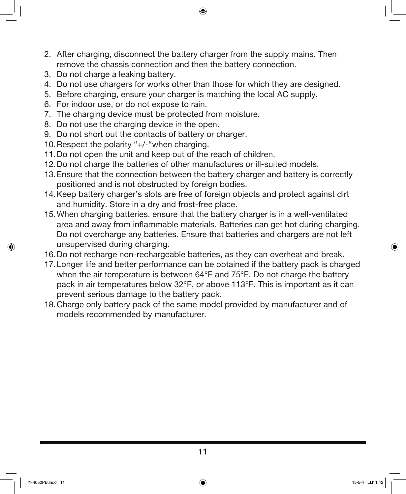2. After charging, disconnect the battery charger from the supply mains. Then remove the chassis connection and then the battery connection.

⊕

- 3. Do not charge a leaking battery.
- 4. Do not use chargers for works other than those for which they are designed.
- 5. Before charging, ensure your charger is matching the local AC supply.
- 6. For indoor use, or do not expose to rain.
- 7. The charging device must be protected from moisture.
- 8. Do not use the charging device in the open.
- 9. Do not short out the contacts of battery or charger.
- 10.Respect the polarity "+/-"when charging.
- 11.Do not open the unit and keep out of the reach of children.
- 12.Do not charge the batteries of other manufactures or ill-suited models.
- 13.Ensure that the connection between the battery charger and battery is correctly positioned and is not obstructed by foreign bodies.
- 14.Keep battery charger's slots are free of foreign objects and protect against dirt and humidity. Store in a dry and frost-free place.
- 15.When charging batteries, ensure that the battery charger is in a well-ventilated area and away from inflammable materials. Batteries can get hot during charging. Do not overcharge any batteries. Ensure that batteries and chargers are not left unsupervised during charging.
- 16.Do not recharge non-rechargeable batteries, as they can overheat and break.
- 17.Longer life and better performance can be obtained if the battery pack is charged when the air temperature is between 64°F and 75°F. Do not charge the battery pack in air temperatures below 32°F, or above 113°F. This is important as it can prevent serious damage to the battery pack.
- 18.Charge only battery pack of the same model provided by manufacturer and of models recommended by manufacturer.

 $\Leftrightarrow$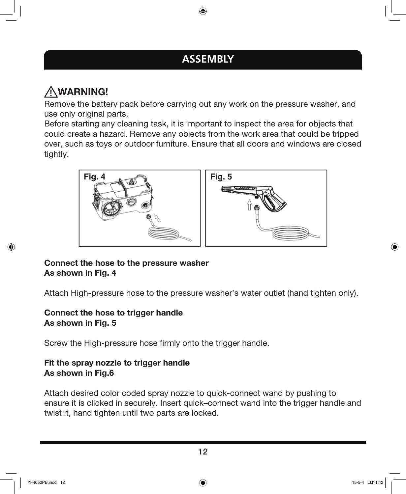# **ASSEMBLY**

⊕

# WARNING!

Remove the battery pack before carrying out any work on the pressure washer, and use only original parts.

Before starting any cleaning task, it is important to inspect the area for objects that could create a hazard. Remove any objects from the work area that could be tripped over, such as toys or outdoor furniture. Ensure that all doors and windows are closed tightly.



### Connect the hose to the pressure washer As shown in Fig. 4

Attach High-pressure hose to the pressure washer's water outlet (hand tighten only).

### Connect the hose to trigger handle As shown in Fig. 5

Screw the High-pressure hose firmly onto the trigger handle.

### Fit the spray nozzle to trigger handle As shown in Fig.6

Attach desired color coded spray nozzle to quick-connect wand by pushing to ensure it is clicked in securely. Insert quick–connect wand into the trigger handle and twist it, hand tighten until two parts are locked.

↔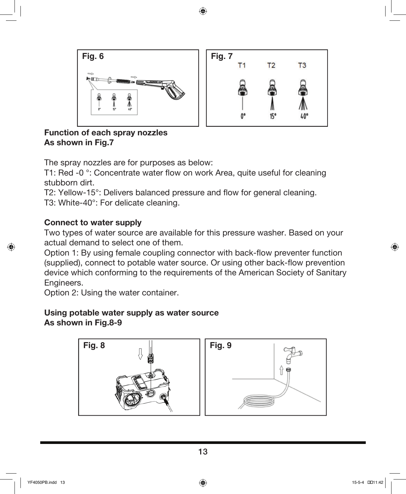

Function of each spray nozzles As shown in Fig.7

The spray nozzles are for purposes as below:

T1: Red -0 °: Concentrate water flow on work Area, quite useful for cleaning stubborn dirt.

T2: Yellow-15°: Delivers balanced pressure and flow for general cleaning. T3: White-40°: For delicate cleaning.

#### Connect to water supply

Two types of water source are available for this pressure washer. Based on your actual demand to select one of them.

Option 1: By using female coupling connector with back-flow preventer function (supplied), connect to potable water source. Or using other back-flow prevention device which conforming to the requirements of the American Society of Sanitary Engineers.

Option 2: Using the water container.

#### Using potable water supply as water source As shown in Fig.8-9



⊕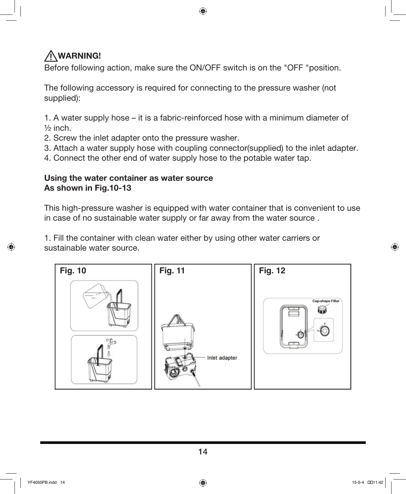# WARNING!

Before following action, make sure the ON/OFF switch is on the "OFF "position.

The following accessory is required for connecting to the pressure washer (not supplied):

1. A water supply hose – it is a fabric-reinforced hose with a minimum diameter of  $\frac{1}{2}$  inch.

- 2. Screw the inlet adapter onto the pressure washer.
- 3. Attach a water supply hose with coupling connector(supplied) to the inlet adapter.
- 4. Connect the other end of water supply hose to the potable water tap.

### Using the water container as water source As shown in Fig.10-13

This high-pressure washer is equipped with water container that is convenient to use in case of no sustainable water supply or far away from the water source .

1. Fill the container with clean water either by using other water carriers or sustainable water source.



↔

⊕

14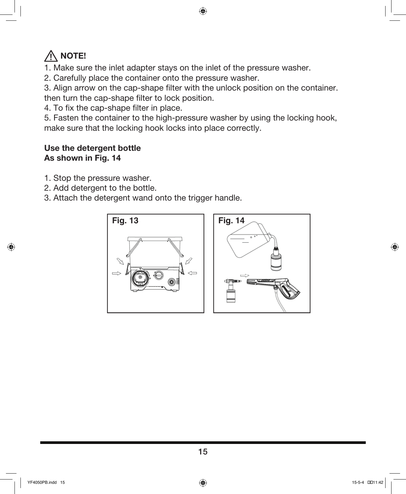# $\bigwedge$  note!

- 1. Make sure the inlet adapter stays on the inlet of the pressure washer.
- 2. Carefully place the container onto the pressure washer.

3. Align arrow on the cap-shape filter with the unlock position on the container. then turn the cap-shape filter to lock position.

4. To fix the cap-shape filter in place.

5. Fasten the container to the high-pressure washer by using the locking hook, make sure that the locking hook locks into place correctly.

### Use the detergent bottle As shown in Fig. 14

- 1. Stop the pressure washer.
- 2. Add detergent to the bottle.
- 3. Attach the detergent wand onto the trigger handle.



 $\Leftrightarrow$ 

⊕

15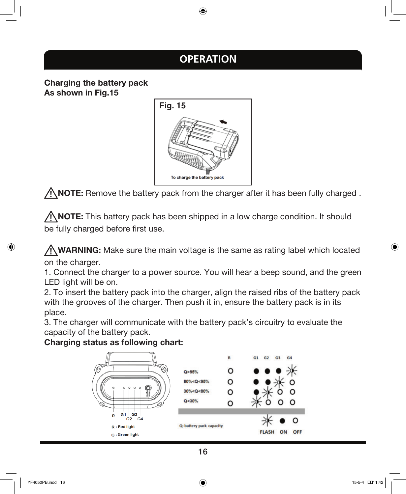# **OPERATION**

⊕

Charging the battery pack As shown in Fig.15



 $\bigwedge$  NOTE: Remove the battery pack from the charger after it has been fully charged.

 $\sqrt{N}$  NOTE: This battery pack has been shipped in a low charge condition. It should be fully charged before first use.

 $\sqrt{N}$  WARNING: Make sure the main voltage is the same as rating label which located on the charger.

1. Connect the charger to a power source. You will hear a beep sound, and the green LED light will be on.

2. To insert the battery pack into the charger, align the raised ribs of the battery pack with the grooves of the charger. Then push it in, ensure the battery pack is in its place.

3. The charger will communicate with the battery pack's circuitry to evaluate the capacity of the battery pack.

### Charging status as following chart:



↔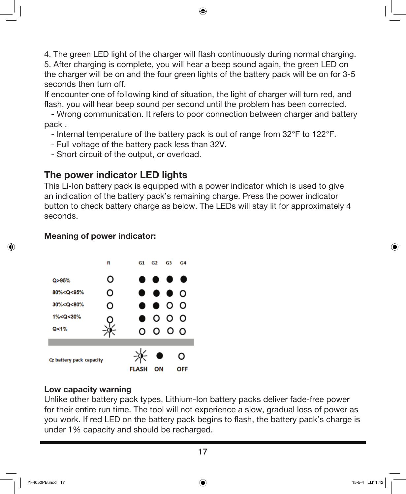4. The green LED light of the charger will flash continuously during normal charging. 5. After charging is complete, you will hear a beep sound again, the green LED on the charger will be on and the four green lights of the battery pack will be on for 3-5 seconds then turn off.

⊕

If encounter one of following kind of situation, the light of charger will turn red, and flash, you will hear beep sound per second until the problem has been corrected.

 - Wrong communication. It refers to poor connection between charger and battery pack .

- Internal temperature of the battery pack is out of range from 32°F to 122°F.
- Full voltage of the battery pack less than 32V.
- Short circuit of the output, or overload.

## The power indicator LED lights

This Li-Ion battery pack is equipped with a power indicator which is used to give an indication of the battery pack's remaining charge. Press the power indicator button to check battery charge as below. The LEDs will stay lit for approximately 4 seconds.

#### Meaning of power indicator:



#### Low capacity warning

Unlike other battery pack types, Lithium-Ion battery packs deliver fade-free power for their entire run time. The tool will not experience a slow, gradual loss of power as you work. If red LED on the battery pack begins to flash, the battery pack's charge is under 1% capacity and should be recharged.

↔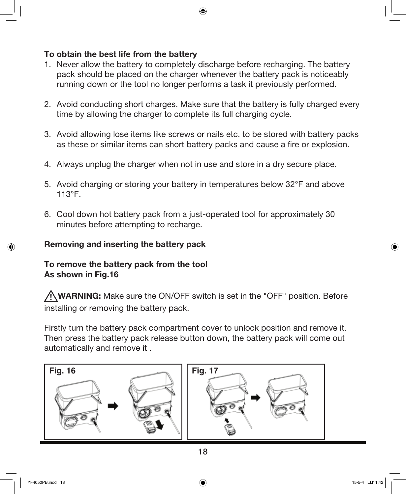#### To obtain the best life from the battery

1. Never allow the battery to completely discharge before recharging. The battery pack should be placed on the charger whenever the battery pack is noticeably running down or the tool no longer performs a task it previously performed.

⊕

- 2. Avoid conducting short charges. Make sure that the battery is fully charged every time by allowing the charger to complete its full charging cycle.
- 3. Avoid allowing lose items like screws or nails etc. to be stored with battery packs as these or similar items can short battery packs and cause a fire or explosion.
- 4. Always unplug the charger when not in use and store in a dry secure place.
- 5. Avoid charging or storing your battery in temperatures below 32°F and above 113°F.
- 6. Cool down hot battery pack from a just-operated tool for approximately 30 minutes before attempting to recharge.

#### Removing and inserting the battery pack

### To remove the battery pack from the tool As shown in Fig.16

WARNING: Make sure the ON/OFF switch is set in the "OFF" position. Before installing or removing the battery pack.

Firstly turn the battery pack compartment cover to unlock position and remove it. Then press the battery pack release button down, the battery pack will come out automatically and remove it .



 $\Leftrightarrow$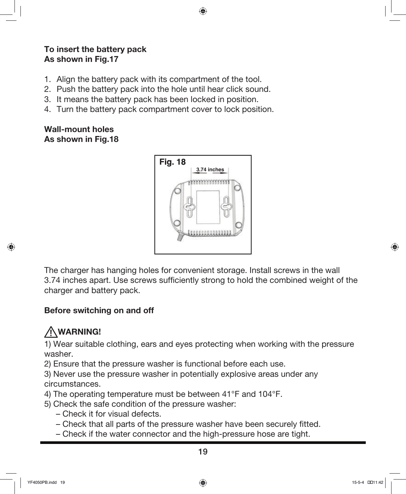### To insert the battery pack As shown in Fig.17

- 1. Align the battery pack with its compartment of the tool.
- 2. Push the battery pack into the hole until hear click sound.
- 3. It means the battery pack has been locked in position.
- 4. Turn the battery pack compartment cover to lock position.

### Wall-mount holes As shown in Fig.18



⊕

The charger has hanging holes for convenient storage. Install screws in the wall 3.74 inches apart. Use screws sufficiently strong to hold the combined weight of the charger and battery pack.

## Before switching on and off

# WARNING!

 $\Leftrightarrow$ 

1) Wear suitable clothing, ears and eyes protecting when working with the pressure washer.

2) Ensure that the pressure washer is functional before each use.

3) Never use the pressure washer in potentially explosive areas under any circumstances.

- 4) The operating temperature must be between 41°F and 104°F.
- 5) Check the safe condition of the pressure washer:
	- Check it for visual defects.
	- Check that all parts of the pressure washer have been securely fitted.
	- Check if the water connector and the high-pressure hose are tight.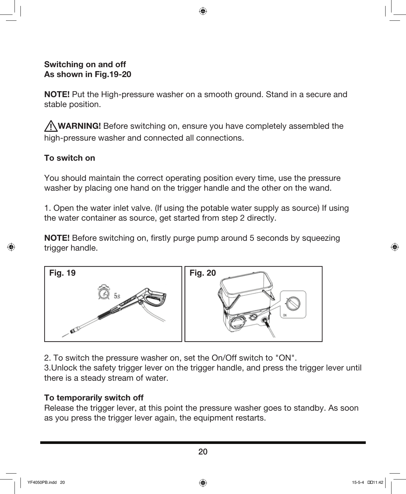#### Switching on and off As shown in Fig.19-20

**NOTE!** Put the High-pressure washer on a smooth ground. Stand in a secure and stable position.

⊕

WARNING! Before switching on, ensure you have completely assembled the high-pressure washer and connected all connections.

### To switch on

You should maintain the correct operating position every time, use the pressure washer by placing one hand on the trigger handle and the other on the wand.

1. Open the water inlet valve. (If using the potable water supply as source) If using the water container as source, get started from step 2 directly.

NOTE! Before switching on, firstly purge pump around 5 seconds by squeezing trigger handle.



2. To switch the pressure washer on, set the On/Off switch to "ON".

3.Unlock the safety trigger lever on the trigger handle, and press the trigger lever until there is a steady stream of water.

### To temporarily switch off

Release the trigger lever, at this point the pressure washer goes to standby. As soon as you press the trigger lever again, the equipment restarts.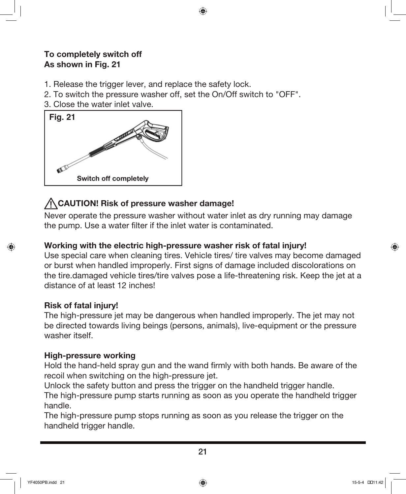### To completely switch off As shown in Fig. 21

- 1. Release the trigger lever, and replace the safety lock.
- 2. To switch the pressure washer off, set the On/Off switch to "OFF".
- 3. Close the water inlet valve.



## CAUTION! Risk of pressure washer damage!

Never operate the pressure washer without water inlet as dry running may damage the pump. Use a water filter if the inlet water is contaminated.

⊕

### Working with the electric high-pressure washer risk of fatal injury!

Use special care when cleaning tires. Vehicle tires/ tire valves may become damaged or burst when handled improperly. First signs of damage included discolorations on the tire.damaged vehicle tires/tire valves pose a life-threatening risk. Keep the jet at a distance of at least 12 inches!

### Risk of fatal injury!

The high-pressure jet may be dangerous when handled improperly. The jet may not be directed towards living beings (persons, animals), live-equipment or the pressure washer itself.

### High-pressure working

Hold the hand-held spray gun and the wand firmly with both hands. Be aware of the recoil when switching on the high-pressure jet.

Unlock the safety button and press the trigger on the handheld trigger handle.

The high-pressure pump starts running as soon as you operate the handheld trigger handle.

The high-pressure pump stops running as soon as you release the trigger on the handheld trigger handle.

 $\Leftrightarrow$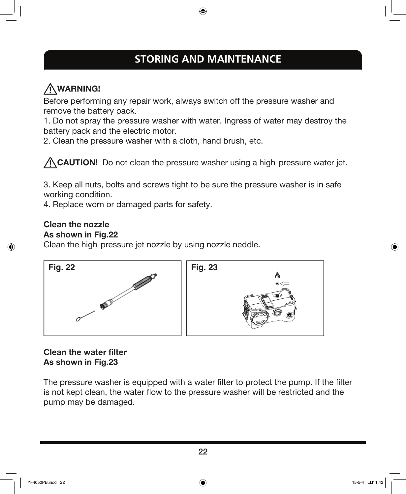# **STORING AND MAINTENANCE**

⊕

# WARNING!

Before performing any repair work, always switch off the pressure washer and remove the battery pack.

1. Do not spray the pressure washer with water. Ingress of water may destroy the battery pack and the electric motor.

2. Clean the pressure washer with a cloth, hand brush, etc.

A CAUTION! Do not clean the pressure washer using a high-pressure water jet.

3. Keep all nuts, bolts and screws tight to be sure the pressure washer is in safe working condition.

4. Replace worn or damaged parts for safety.

#### Clean the nozzle As shown in Fig.22

 $\Leftrightarrow$ 

Clean the high-pressure jet nozzle by using nozzle neddle.



### Clean the water filter As shown in Fig.23

The pressure washer is equipped with a water filter to protect the pump. If the filter is not kept clean, the water flow to the pressure washer will be restricted and the pump may be damaged.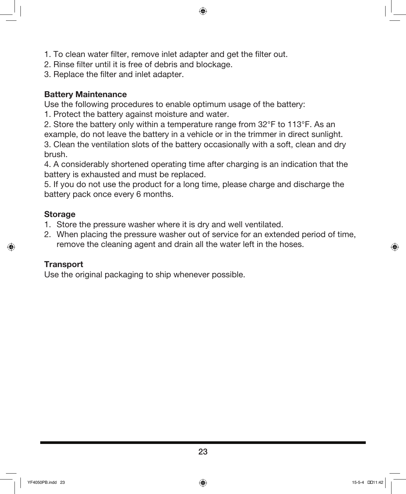- 1. To clean water filter, remove inlet adapter and get the filter out.
- 2. Rinse filter until it is free of debris and blockage.
- 3. Replace the filter and inlet adapter.

#### Battery Maintenance

Use the following procedures to enable optimum usage of the battery:

1. Protect the battery against moisture and water.

2. Store the battery only within a temperature range from 32°F to 113°F. As an example, do not leave the battery in a vehicle or in the trimmer in direct sunlight. 3. Clean the ventilation slots of the battery occasionally with a soft, clean and dry brush.

⊕

4. A considerably shortened operating time after charging is an indication that the battery is exhausted and must be replaced.

5. If you do not use the product for a long time, please charge and discharge the battery pack once every 6 months.

#### Storage

 $\leftrightarrow$ 

- 1. Store the pressure washer where it is dry and well ventilated.
- 2. When placing the pressure washer out of service for an extended period of time, remove the cleaning agent and drain all the water left in the hoses.

#### **Transport**

Use the original packaging to ship whenever possible.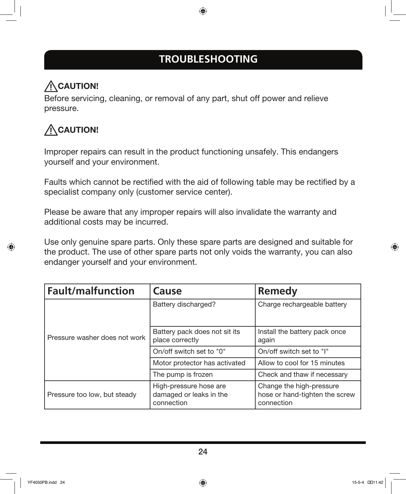# **TROUBLESHOOTING**

⊕

# ACAUTION!

Before servicing, cleaning, or removal of any part, shut off power and relieve pressure.

# ACAUTION!

↔

Improper repairs can result in the product functioning unsafely. This endangers yourself and your environment.

Faults which cannot be rectified with the aid of following table may be rectified by a specialist company only (customer service center).

Please be aware that any improper repairs will also invalidate the warranty and additional costs may be incurred.

Use only genuine spare parts. Only these spare parts are designed and suitable for the product. The use of other spare parts not only voids the warranty, you can also endanger yourself and your environment.

| <b>Fault/malfunction</b>      | Cause                                                           | Remedy                                                                   |
|-------------------------------|-----------------------------------------------------------------|--------------------------------------------------------------------------|
| Pressure washer does not work | Battery discharged?                                             | Charge rechargeable battery                                              |
|                               | Battery pack does not sit its<br>place correctly                | Install the battery pack once<br>again                                   |
|                               | On/off switch set to "0"                                        | On/off switch set to "I"                                                 |
|                               | Motor protector has activated                                   | Allow to cool for 15 minutes                                             |
|                               | The pump is frozen                                              | Check and thaw if necessary                                              |
| Pressure too low, but steady  | High-pressure hose are<br>damaged or leaks in the<br>connection | Change the high-pressure<br>hose or hand-tighten the screw<br>connection |

⊕

24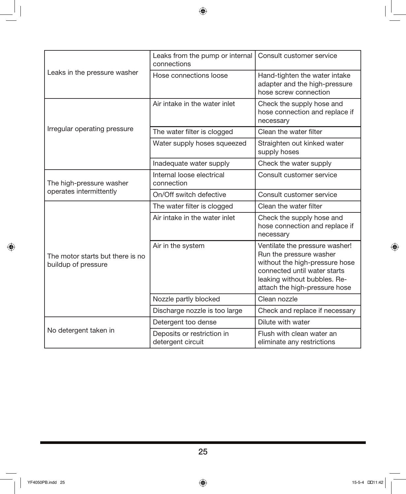$\bigoplus$ 

| Leaks in the pressure washer                            | Leaks from the pump or internal<br>connections  | Consult customer service                                                                                                                                                                     |
|---------------------------------------------------------|-------------------------------------------------|----------------------------------------------------------------------------------------------------------------------------------------------------------------------------------------------|
|                                                         | Hose connections loose                          | Hand-tighten the water intake<br>adapter and the high-pressure<br>hose screw connection                                                                                                      |
| Irregular operating pressure                            | Air intake in the water inlet                   | Check the supply hose and<br>hose connection and replace if<br>necessary                                                                                                                     |
|                                                         | The water filter is clogged                     | Clean the water filter                                                                                                                                                                       |
|                                                         | Water supply hoses squeezed                     | Straighten out kinked water<br>supply hoses                                                                                                                                                  |
|                                                         | Inadequate water supply                         | Check the water supply                                                                                                                                                                       |
| The high-pressure washer<br>operates intermittently     | Internal loose electrical<br>connection         | Consult customer service                                                                                                                                                                     |
|                                                         | On/Off switch defective                         | Consult customer service                                                                                                                                                                     |
| The motor starts but there is no<br>buildup of pressure | The water filter is clogged                     | Clean the water filter                                                                                                                                                                       |
|                                                         | Air intake in the water inlet                   | Check the supply hose and<br>hose connection and replace if<br>necessary                                                                                                                     |
|                                                         | Air in the system                               | Ventilate the pressure washer!<br>Run the pressure washer<br>without the high-pressure hose<br>connected until water starts<br>leaking without bubbles. Re-<br>attach the high-pressure hose |
|                                                         | Nozzle partly blocked                           | Clean nozzle                                                                                                                                                                                 |
|                                                         | Discharge nozzle is too large                   | Check and replace if necessary                                                                                                                                                               |
| No detergent taken in                                   | Detergent too dense                             | Dilute with water                                                                                                                                                                            |
|                                                         | Deposits or restriction in<br>detergent circuit | Flush with clean water an<br>eliminate any restrictions                                                                                                                                      |

 $\bigoplus$ 

25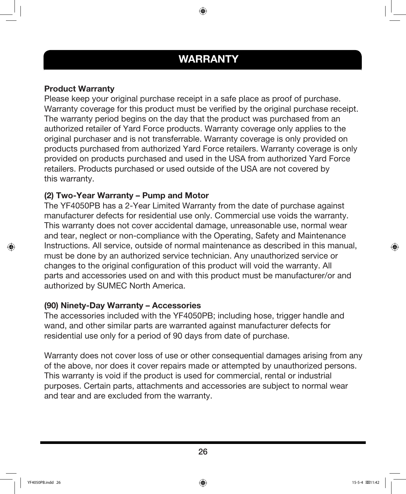# WARRANTY

⊕

#### Product Warranty

Please keep your original purchase receipt in a safe place as proof of purchase. Warranty coverage for this product must be verified by the original purchase receipt. The warranty period begins on the day that the product was purchased from an authorized retailer of Yard Force products. Warranty coverage only applies to the original purchaser and is not transferrable. Warranty coverage is only provided on products purchased from authorized Yard Force retailers. Warranty coverage is only provided on products purchased and used in the USA from authorized Yard Force retailers. Products purchased or used outside of the USA are not covered by this warranty.

#### (2) Two-Year Warranty – Pump and Motor

The YF4050PB has a 2-Year Limited Warranty from the date of purchase against manufacturer defects for residential use only. Commercial use voids the warranty. This warranty does not cover accidental damage, unreasonable use, normal wear and tear, neglect or non-compliance with the Operating, Safety and Maintenance Instructions. All service, outside of normal maintenance as described in this manual, must be done by an authorized service technician. Any unauthorized service or changes to the original configuration of this product will void the warranty. All parts and accessories used on and with this product must be manufacturer/or and authorized by SUMEC North America.

#### (90) Ninety-Day Warranty – Accessories

The accessories included with the YF4050PB; including hose, trigger handle and wand, and other similar parts are warranted against manufacturer defects for residential use only for a period of 90 days from date of purchase.

Warranty does not cover loss of use or other consequential damages arising from any of the above, nor does it cover repairs made or attempted by unauthorized persons. This warranty is void if the product is used for commercial, rental or industrial purposes. Certain parts, attachments and accessories are subject to normal wear and tear and are excluded from the warranty.

↔